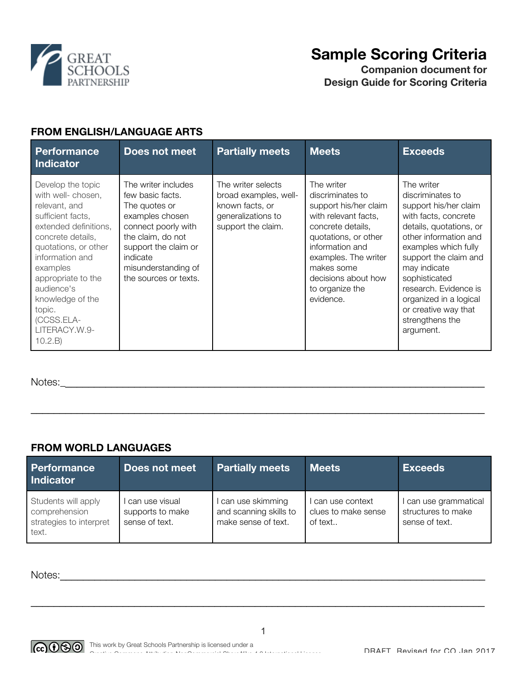

# **Sample Scoring Criteria**

**Companion document for Design Guide for Scoring Criteria**

## **FROM ENGLISH/LANGUAGE ARTS**

| <b>Performance</b><br><b>Indicator</b>                                                                                                                                                                                                                                                         | Does not meet                                                                                                                                                                                               | <b>Partially meets</b>                                                                                     | <b>Meets</b>                                                                                                                                                                                                                                 | <b>Exceeds</b>                                                                                                                                                                                                                                                                                                                   |
|------------------------------------------------------------------------------------------------------------------------------------------------------------------------------------------------------------------------------------------------------------------------------------------------|-------------------------------------------------------------------------------------------------------------------------------------------------------------------------------------------------------------|------------------------------------------------------------------------------------------------------------|----------------------------------------------------------------------------------------------------------------------------------------------------------------------------------------------------------------------------------------------|----------------------------------------------------------------------------------------------------------------------------------------------------------------------------------------------------------------------------------------------------------------------------------------------------------------------------------|
| Develop the topic<br>with well- chosen,<br>relevant, and<br>sufficient facts,<br>extended definitions,<br>concrete details.<br>quotations, or other<br>information and<br>examples<br>appropriate to the<br>audience's<br>knowledge of the<br>topic.<br>(CCSS.ELA-<br>LITERACY.W.9-<br>10.2.B) | The writer includes<br>few basic facts.<br>The quotes or<br>examples chosen<br>connect poorly with<br>the claim, do not<br>support the claim or<br>indicate<br>misunderstanding of<br>the sources or texts. | The writer selects<br>broad examples, well-<br>known facts, or<br>generalizations to<br>support the claim. | The writer<br>discriminates to<br>support his/her claim<br>with relevant facts,<br>concrete details,<br>quotations, or other<br>information and<br>examples. The writer<br>makes some<br>decisions about how<br>to organize the<br>evidence. | The writer<br>discriminates to<br>support his/her claim<br>with facts, concrete<br>details, quotations, or<br>other information and<br>examples which fully<br>support the claim and<br>may indicate<br>sophisticated<br>research. Evidence is<br>organized in a logical<br>or creative way that<br>strengthens the<br>argument. |

Notes:\_\_\_\_\_\_\_\_\_\_\_\_\_\_\_\_\_\_\_\_\_\_\_\_\_\_\_\_\_\_\_\_\_\_\_\_\_\_\_\_\_\_\_\_\_\_\_\_\_\_\_\_\_\_\_\_\_\_\_\_\_\_\_\_\_\_\_\_\_\_\_\_\_\_

### **FROM WORLD LANGUAGES**

| Performance<br><b>Indicator</b>                                          | Does not meet                                        | <b>Partially meets</b>                                            | <b>Meets</b>                                      | <b>Exceeds</b>                                              |
|--------------------------------------------------------------------------|------------------------------------------------------|-------------------------------------------------------------------|---------------------------------------------------|-------------------------------------------------------------|
| Students will apply<br>comprehension<br>strategies to interpret<br>text. | can use visual<br>supports to make<br>sense of text. | can use skimming<br>and scanning skills to<br>make sense of text. | can use context<br>clues to make sense<br>of text | can use grammatical<br>structures to make<br>sense of text. |

 $\mathcal{L}_\mathcal{L} = \mathcal{L}_\mathcal{L} = \mathcal{L}_\mathcal{L} = \mathcal{L}_\mathcal{L} = \mathcal{L}_\mathcal{L} = \mathcal{L}_\mathcal{L} = \mathcal{L}_\mathcal{L} = \mathcal{L}_\mathcal{L} = \mathcal{L}_\mathcal{L} = \mathcal{L}_\mathcal{L} = \mathcal{L}_\mathcal{L} = \mathcal{L}_\mathcal{L} = \mathcal{L}_\mathcal{L} = \mathcal{L}_\mathcal{L} = \mathcal{L}_\mathcal{L} = \mathcal{L}_\mathcal{L} = \mathcal{L}_\mathcal{L}$ 

Notes:



 $\mathcal{L}_\mathcal{L} = \mathcal{L}_\mathcal{L} = \mathcal{L}_\mathcal{L} = \mathcal{L}_\mathcal{L} = \mathcal{L}_\mathcal{L} = \mathcal{L}_\mathcal{L} = \mathcal{L}_\mathcal{L} = \mathcal{L}_\mathcal{L} = \mathcal{L}_\mathcal{L} = \mathcal{L}_\mathcal{L} = \mathcal{L}_\mathcal{L} = \mathcal{L}_\mathcal{L} = \mathcal{L}_\mathcal{L} = \mathcal{L}_\mathcal{L} = \mathcal{L}_\mathcal{L} = \mathcal{L}_\mathcal{L} = \mathcal{L}_\mathcal{L}$